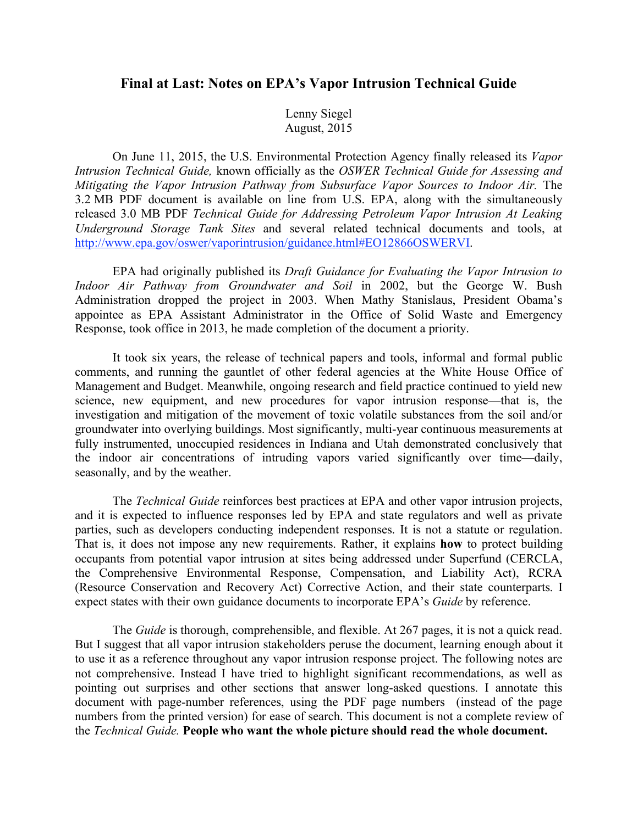# **Final at Last: Notes on EPA's Vapor Intrusion Technical Guide**

Lenny Siegel August, 2015

On June 11, 2015, the U.S. Environmental Protection Agency finally released its *Vapor Intrusion Technical Guide,* known officially as the *OSWER Technical Guide for Assessing and Mitigating the Vapor Intrusion Pathway from Subsurface Vapor Sources to Indoor Air.* The 3.2 MB PDF document is available on line from U.S. EPA, along with the simultaneously released 3.0 MB PDF *Technical Guide for Addressing Petroleum Vapor Intrusion At Leaking Underground Storage Tank Sites* and several related technical documents and tools, at http://www.epa.gov/oswer/vaporintrusion/guidance.html#EO12866OSWERVI.

EPA had originally published its *Draft Guidance for Evaluating the Vapor Intrusion to Indoor Air Pathway from Groundwater and Soil* in 2002, but the George W. Bush Administration dropped the project in 2003. When Mathy Stanislaus, President Obama's appointee as EPA Assistant Administrator in the Office of Solid Waste and Emergency Response, took office in 2013, he made completion of the document a priority.

It took six years, the release of technical papers and tools, informal and formal public comments, and running the gauntlet of other federal agencies at the White House Office of Management and Budget. Meanwhile, ongoing research and field practice continued to yield new science, new equipment, and new procedures for vapor intrusion response—that is, the investigation and mitigation of the movement of toxic volatile substances from the soil and/or groundwater into overlying buildings. Most significantly, multi-year continuous measurements at fully instrumented, unoccupied residences in Indiana and Utah demonstrated conclusively that the indoor air concentrations of intruding vapors varied significantly over time—daily, seasonally, and by the weather.

The *Technical Guide* reinforces best practices at EPA and other vapor intrusion projects, and it is expected to influence responses led by EPA and state regulators and well as private parties, such as developers conducting independent responses. It is not a statute or regulation. That is, it does not impose any new requirements. Rather, it explains **how** to protect building occupants from potential vapor intrusion at sites being addressed under Superfund (CERCLA, the Comprehensive Environmental Response, Compensation, and Liability Act), RCRA (Resource Conservation and Recovery Act) Corrective Action, and their state counterparts. I expect states with their own guidance documents to incorporate EPA's *Guide* by reference.

The *Guide* is thorough, comprehensible, and flexible. At 267 pages, it is not a quick read. But I suggest that all vapor intrusion stakeholders peruse the document, learning enough about it to use it as a reference throughout any vapor intrusion response project. The following notes are not comprehensive. Instead I have tried to highlight significant recommendations, as well as pointing out surprises and other sections that answer long-asked questions. I annotate this document with page-number references, using the PDF page numbers (instead of the page numbers from the printed version) for ease of search. This document is not a complete review of the *Technical Guide.* **People who want the whole picture should read the whole document.**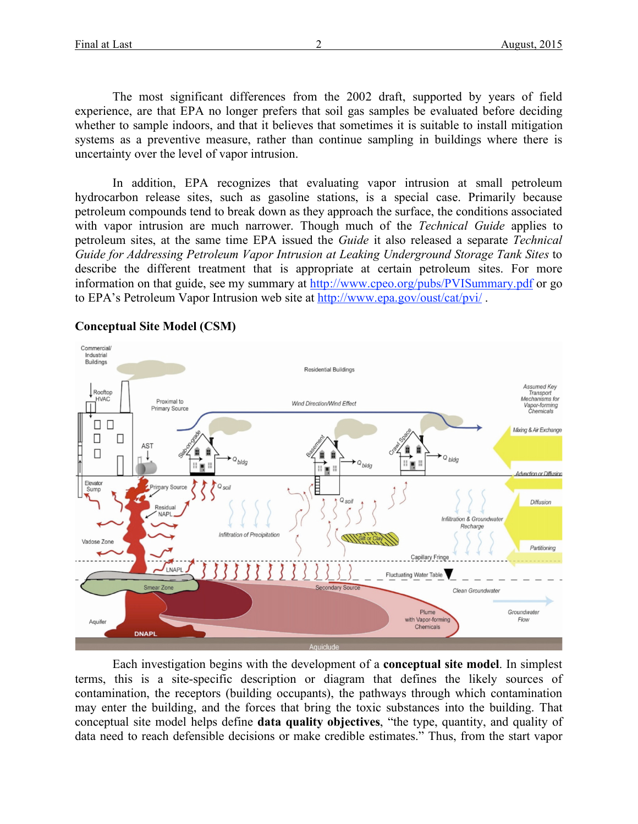The most significant differences from the 2002 draft, supported by years of field experience, are that EPA no longer prefers that soil gas samples be evaluated before deciding whether to sample indoors, and that it believes that sometimes it is suitable to install mitigation systems as a preventive measure, rather than continue sampling in buildings where there is uncertainty over the level of vapor intrusion.

In addition, EPA recognizes that evaluating vapor intrusion at small petroleum hydrocarbon release sites, such as gasoline stations, is a special case. Primarily because petroleum compounds tend to break down as they approach the surface, the conditions associated with vapor intrusion are much narrower. Though much of the *Technical Guide* applies to petroleum sites, at the same time EPA issued the *Guide* it also released a separate *Technical Guide for Addressing Petroleum Vapor Intrusion at Leaking Underground Storage Tank Sites* to describe the different treatment that is appropriate at certain petroleum sites. For more information on that guide, see my summary at http://www.cpeo.org/pubs/PVISummary.pdf or go to EPA's Petroleum Vapor Intrusion web site at http://www.epa.gov/oust/cat/pvi/ .



# **Conceptual Site Model (CSM)**

Each investigation begins with the development of a **conceptual site model**. In simplest terms, this is a site-specific description or diagram that defines the likely sources of contamination, the receptors (building occupants), the pathways through which contamination may enter the building, and the forces that bring the toxic substances into the building. That conceptual site model helps define **data quality objectives**, "the type, quantity, and quality of data need to reach defensible decisions or make credible estimates." Thus, from the start vapor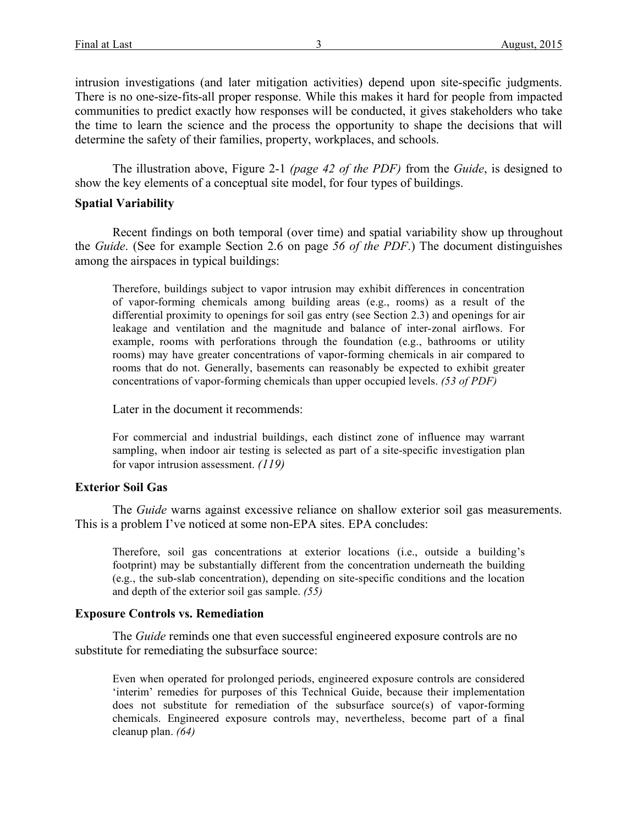intrusion investigations (and later mitigation activities) depend upon site-specific judgments. There is no one-size-fits-all proper response. While this makes it hard for people from impacted communities to predict exactly how responses will be conducted, it gives stakeholders who take the time to learn the science and the process the opportunity to shape the decisions that will determine the safety of their families, property, workplaces, and schools.

The illustration above, Figure 2-1 *(page 42 of the PDF)* from the *Guide*, is designed to show the key elements of a conceptual site model, for four types of buildings.

# **Spatial Variability**

Recent findings on both temporal (over time) and spatial variability show up throughout the *Guide*. (See for example Section 2.6 on page *56 of the PDF*.) The document distinguishes among the airspaces in typical buildings:

Therefore, buildings subject to vapor intrusion may exhibit differences in concentration of vapor-forming chemicals among building areas (e.g., rooms) as a result of the differential proximity to openings for soil gas entry (see Section 2.3) and openings for air leakage and ventilation and the magnitude and balance of inter-zonal airflows. For example, rooms with perforations through the foundation (e.g., bathrooms or utility rooms) may have greater concentrations of vapor-forming chemicals in air compared to rooms that do not. Generally, basements can reasonably be expected to exhibit greater concentrations of vapor-forming chemicals than upper occupied levels. *(53 of PDF)*

Later in the document it recommends:

For commercial and industrial buildings, each distinct zone of influence may warrant sampling, when indoor air testing is selected as part of a site-specific investigation plan for vapor intrusion assessment. *(119)*

# **Exterior Soil Gas**

The *Guide* warns against excessive reliance on shallow exterior soil gas measurements. This is a problem I've noticed at some non-EPA sites. EPA concludes:

Therefore, soil gas concentrations at exterior locations (i.e., outside a building's footprint) may be substantially different from the concentration underneath the building (e.g., the sub-slab concentration), depending on site-specific conditions and the location and depth of the exterior soil gas sample. *(55)*

# **Exposure Controls vs. Remediation**

The *Guide* reminds one that even successful engineered exposure controls are no substitute for remediating the subsurface source:

Even when operated for prolonged periods, engineered exposure controls are considered 'interim' remedies for purposes of this Technical Guide, because their implementation does not substitute for remediation of the subsurface source(s) of vapor-forming chemicals. Engineered exposure controls may, nevertheless, become part of a final cleanup plan. *(64)*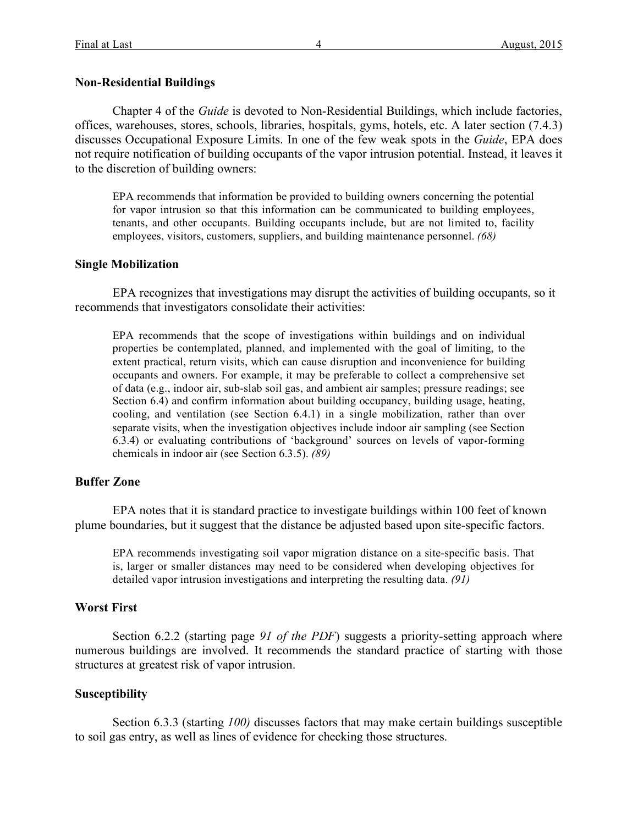## **Non-Residential Buildings**

Chapter 4 of the *Guide* is devoted to Non-Residential Buildings, which include factories, offices, warehouses, stores, schools, libraries, hospitals, gyms, hotels, etc. A later section (7.4.3) discusses Occupational Exposure Limits. In one of the few weak spots in the *Guide*, EPA does not require notification of building occupants of the vapor intrusion potential. Instead, it leaves it to the discretion of building owners:

EPA recommends that information be provided to building owners concerning the potential for vapor intrusion so that this information can be communicated to building employees, tenants, and other occupants. Building occupants include, but are not limited to, facility employees, visitors, customers, suppliers, and building maintenance personnel. *(68)*

#### **Single Mobilization**

EPA recognizes that investigations may disrupt the activities of building occupants, so it recommends that investigators consolidate their activities:

EPA recommends that the scope of investigations within buildings and on individual properties be contemplated, planned, and implemented with the goal of limiting, to the extent practical, return visits, which can cause disruption and inconvenience for building occupants and owners. For example, it may be preferable to collect a comprehensive set of data (e.g., indoor air, sub-slab soil gas, and ambient air samples; pressure readings; see Section 6.4) and confirm information about building occupancy, building usage, heating, cooling, and ventilation (see Section 6.4.1) in a single mobilization, rather than over separate visits, when the investigation objectives include indoor air sampling (see Section 6.3.4) or evaluating contributions of 'background' sources on levels of vapor-forming chemicals in indoor air (see Section 6.3.5). *(89)*

## **Buffer Zone**

EPA notes that it is standard practice to investigate buildings within 100 feet of known plume boundaries, but it suggest that the distance be adjusted based upon site-specific factors.

EPA recommends investigating soil vapor migration distance on a site-specific basis. That is, larger or smaller distances may need to be considered when developing objectives for detailed vapor intrusion investigations and interpreting the resulting data. *(91)*

#### **Worst First**

Section 6.2.2 (starting page *91 of the PDF*) suggests a priority-setting approach where numerous buildings are involved. It recommends the standard practice of starting with those structures at greatest risk of vapor intrusion.

#### **Susceptibility**

Section 6.3.3 (starting *100)* discusses factors that may make certain buildings susceptible to soil gas entry, as well as lines of evidence for checking those structures.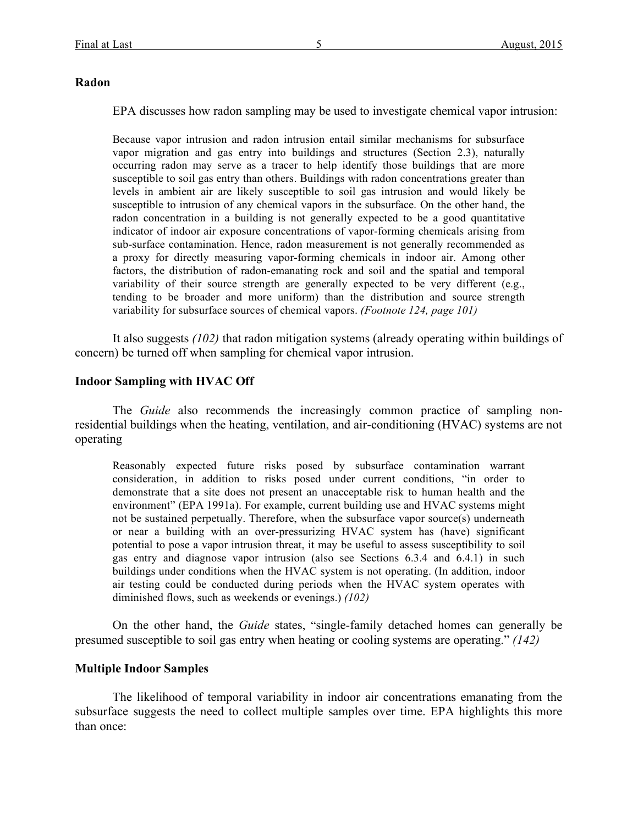## **Radon**

EPA discusses how radon sampling may be used to investigate chemical vapor intrusion:

Because vapor intrusion and radon intrusion entail similar mechanisms for subsurface vapor migration and gas entry into buildings and structures (Section 2.3), naturally occurring radon may serve as a tracer to help identify those buildings that are more susceptible to soil gas entry than others. Buildings with radon concentrations greater than levels in ambient air are likely susceptible to soil gas intrusion and would likely be susceptible to intrusion of any chemical vapors in the subsurface. On the other hand, the radon concentration in a building is not generally expected to be a good quantitative indicator of indoor air exposure concentrations of vapor-forming chemicals arising from sub-surface contamination. Hence, radon measurement is not generally recommended as a proxy for directly measuring vapor-forming chemicals in indoor air. Among other factors, the distribution of radon-emanating rock and soil and the spatial and temporal variability of their source strength are generally expected to be very different (e.g., tending to be broader and more uniform) than the distribution and source strength variability for subsurface sources of chemical vapors. *(Footnote 124, page 101)*

It also suggests *(102)* that radon mitigation systems (already operating within buildings of concern) be turned off when sampling for chemical vapor intrusion.

## **Indoor Sampling with HVAC Off**

The *Guide* also recommends the increasingly common practice of sampling nonresidential buildings when the heating, ventilation, and air-conditioning (HVAC) systems are not operating

Reasonably expected future risks posed by subsurface contamination warrant consideration, in addition to risks posed under current conditions, "in order to demonstrate that a site does not present an unacceptable risk to human health and the environment" (EPA 1991a). For example, current building use and HVAC systems might not be sustained perpetually. Therefore, when the subsurface vapor source(s) underneath or near a building with an over-pressurizing HVAC system has (have) significant potential to pose a vapor intrusion threat, it may be useful to assess susceptibility to soil gas entry and diagnose vapor intrusion (also see Sections 6.3.4 and 6.4.1) in such buildings under conditions when the HVAC system is not operating. (In addition, indoor air testing could be conducted during periods when the HVAC system operates with diminished flows, such as weekends or evenings.) *(102)*

On the other hand, the *Guide* states, "single-family detached homes can generally be presumed susceptible to soil gas entry when heating or cooling systems are operating." *(142)*

# **Multiple Indoor Samples**

The likelihood of temporal variability in indoor air concentrations emanating from the subsurface suggests the need to collect multiple samples over time. EPA highlights this more than once: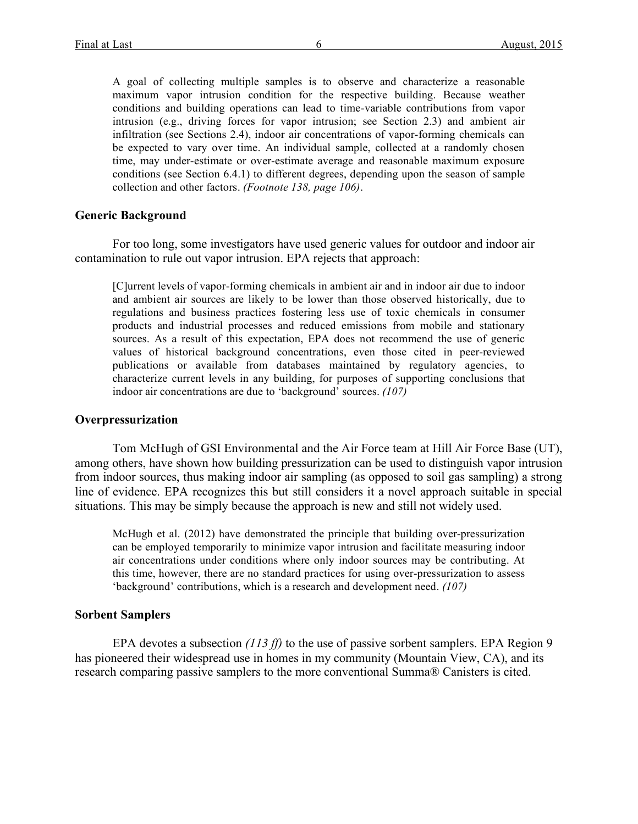A goal of collecting multiple samples is to observe and characterize a reasonable maximum vapor intrusion condition for the respective building. Because weather conditions and building operations can lead to time-variable contributions from vapor intrusion (e.g., driving forces for vapor intrusion; see Section 2.3) and ambient air infiltration (see Sections 2.4), indoor air concentrations of vapor-forming chemicals can be expected to vary over time. An individual sample, collected at a randomly chosen time, may under-estimate or over-estimate average and reasonable maximum exposure conditions (see Section 6.4.1) to different degrees, depending upon the season of sample collection and other factors. *(Footnote 138, page 106)*.

#### **Generic Background**

For too long, some investigators have used generic values for outdoor and indoor air contamination to rule out vapor intrusion. EPA rejects that approach:

[C]urrent levels of vapor-forming chemicals in ambient air and in indoor air due to indoor and ambient air sources are likely to be lower than those observed historically, due to regulations and business practices fostering less use of toxic chemicals in consumer products and industrial processes and reduced emissions from mobile and stationary sources. As a result of this expectation, EPA does not recommend the use of generic values of historical background concentrations, even those cited in peer-reviewed publications or available from databases maintained by regulatory agencies, to characterize current levels in any building, for purposes of supporting conclusions that indoor air concentrations are due to 'background' sources. *(107)*

### **Overpressurization**

Tom McHugh of GSI Environmental and the Air Force team at Hill Air Force Base (UT), among others, have shown how building pressurization can be used to distinguish vapor intrusion from indoor sources, thus making indoor air sampling (as opposed to soil gas sampling) a strong line of evidence. EPA recognizes this but still considers it a novel approach suitable in special situations. This may be simply because the approach is new and still not widely used.

McHugh et al. (2012) have demonstrated the principle that building over-pressurization can be employed temporarily to minimize vapor intrusion and facilitate measuring indoor air concentrations under conditions where only indoor sources may be contributing. At this time, however, there are no standard practices for using over-pressurization to assess 'background' contributions, which is a research and development need. *(107)*

### **Sorbent Samplers**

EPA devotes a subsection *(113 ff)* to the use of passive sorbent samplers. EPA Region 9 has pioneered their widespread use in homes in my community (Mountain View, CA), and its research comparing passive samplers to the more conventional Summa® Canisters is cited.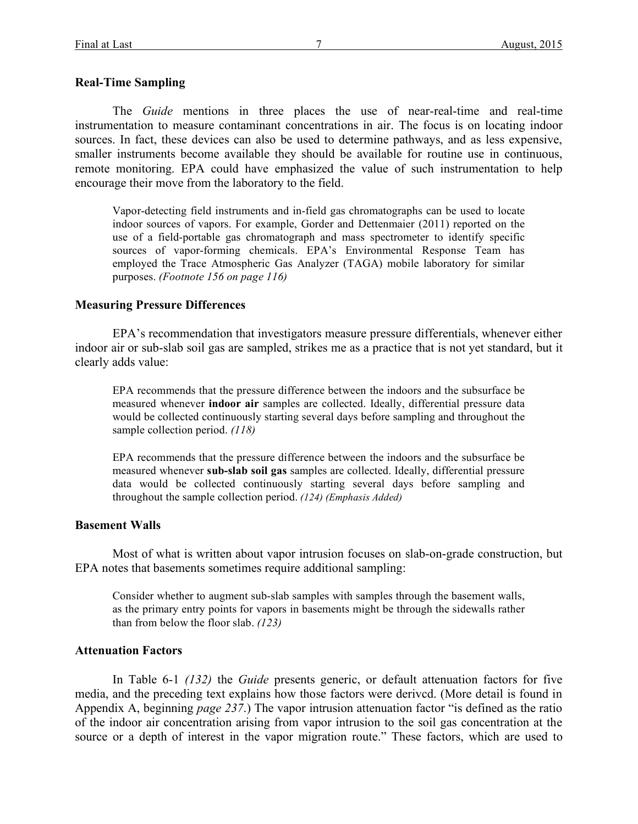### **Real-Time Sampling**

The *Guide* mentions in three places the use of near-real-time and real-time instrumentation to measure contaminant concentrations in air. The focus is on locating indoor sources. In fact, these devices can also be used to determine pathways, and as less expensive, smaller instruments become available they should be available for routine use in continuous, remote monitoring. EPA could have emphasized the value of such instrumentation to help encourage their move from the laboratory to the field.

Vapor-detecting field instruments and in-field gas chromatographs can be used to locate indoor sources of vapors. For example, Gorder and Dettenmaier (2011) reported on the use of a field-portable gas chromatograph and mass spectrometer to identify specific sources of vapor-forming chemicals. EPA's Environmental Response Team has employed the Trace Atmospheric Gas Analyzer (TAGA) mobile laboratory for similar purposes. *(Footnote 156 on page 116)*

#### **Measuring Pressure Differences**

EPA's recommendation that investigators measure pressure differentials, whenever either indoor air or sub-slab soil gas are sampled, strikes me as a practice that is not yet standard, but it clearly adds value:

EPA recommends that the pressure difference between the indoors and the subsurface be measured whenever **indoor air** samples are collected. Ideally, differential pressure data would be collected continuously starting several days before sampling and throughout the sample collection period. *(118)*

EPA recommends that the pressure difference between the indoors and the subsurface be measured whenever **sub-slab soil gas** samples are collected. Ideally, differential pressure data would be collected continuously starting several days before sampling and throughout the sample collection period. *(124) (Emphasis Added)*

#### **Basement Walls**

Most of what is written about vapor intrusion focuses on slab-on-grade construction, but EPA notes that basements sometimes require additional sampling:

Consider whether to augment sub-slab samples with samples through the basement walls, as the primary entry points for vapors in basements might be through the sidewalls rather than from below the floor slab. *(123)*

### **Attenuation Factors**

In Table 6-1 *(132)* the *Guide* presents generic, or default attenuation factors for five media, and the preceding text explains how those factors were derivcd. (More detail is found in Appendix A, beginning *page 237*.) The vapor intrusion attenuation factor "is defined as the ratio of the indoor air concentration arising from vapor intrusion to the soil gas concentration at the source or a depth of interest in the vapor migration route." These factors, which are used to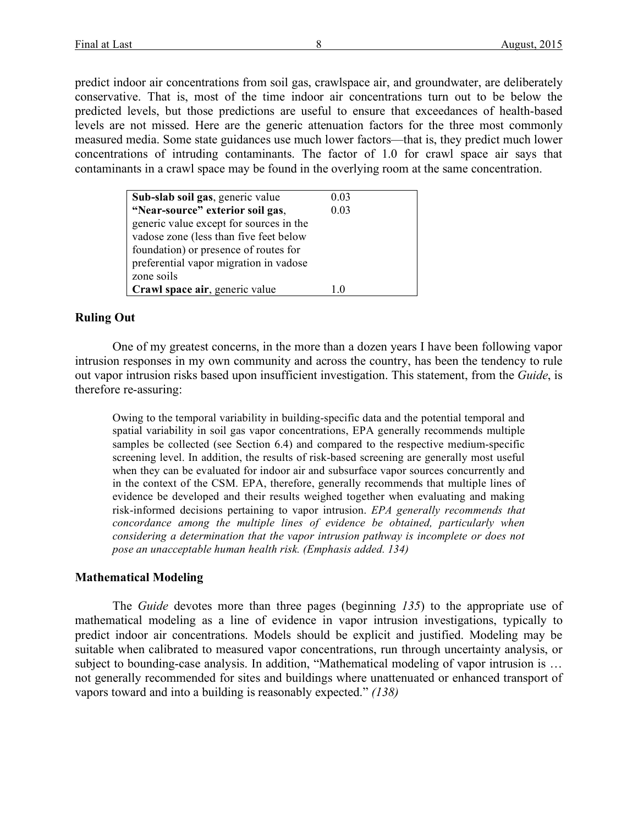predict indoor air concentrations from soil gas, crawlspace air, and groundwater, are deliberately conservative. That is, most of the time indoor air concentrations turn out to be below the predicted levels, but those predictions are useful to ensure that exceedances of health-based levels are not missed. Here are the generic attenuation factors for the three most commonly measured media. Some state guidances use much lower factors—that is, they predict much lower concentrations of intruding contaminants. The factor of 1.0 for crawl space air says that contaminants in a crawl space may be found in the overlying room at the same concentration.

| Sub-slab soil gas, generic value        | 0.03 |
|-----------------------------------------|------|
| "Near-source" exterior soil gas,        | 0.03 |
| generic value except for sources in the |      |
| vadose zone (less than five feet below  |      |
| foundation) or presence of routes for   |      |
| preferential vapor migration in vadose  |      |
| zone soils                              |      |
| Crawl space air, generic value          |      |

# **Ruling Out**

One of my greatest concerns, in the more than a dozen years I have been following vapor intrusion responses in my own community and across the country, has been the tendency to rule out vapor intrusion risks based upon insufficient investigation. This statement, from the *Guide*, is therefore re-assuring:

Owing to the temporal variability in building-specific data and the potential temporal and spatial variability in soil gas vapor concentrations, EPA generally recommends multiple samples be collected (see Section 6.4) and compared to the respective medium-specific screening level. In addition, the results of risk-based screening are generally most useful when they can be evaluated for indoor air and subsurface vapor sources concurrently and in the context of the CSM. EPA, therefore, generally recommends that multiple lines of evidence be developed and their results weighed together when evaluating and making risk-informed decisions pertaining to vapor intrusion. *EPA generally recommends that concordance among the multiple lines of evidence be obtained, particularly when considering a determination that the vapor intrusion pathway is incomplete or does not pose an unacceptable human health risk. (Emphasis added. 134)*

# **Mathematical Modeling**

The *Guide* devotes more than three pages (beginning *135*) to the appropriate use of mathematical modeling as a line of evidence in vapor intrusion investigations, typically to predict indoor air concentrations. Models should be explicit and justified. Modeling may be suitable when calibrated to measured vapor concentrations, run through uncertainty analysis, or subject to bounding-case analysis. In addition, "Mathematical modeling of vapor intrusion is ... not generally recommended for sites and buildings where unattenuated or enhanced transport of vapors toward and into a building is reasonably expected." *(138)*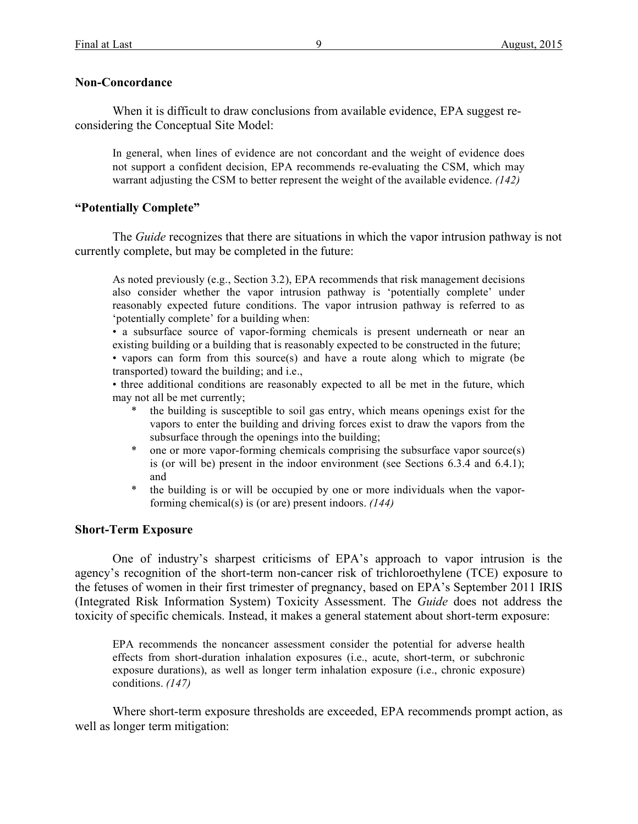## **Non-Concordance**

When it is difficult to draw conclusions from available evidence, EPA suggest reconsidering the Conceptual Site Model:

In general, when lines of evidence are not concordant and the weight of evidence does not support a confident decision, EPA recommends re-evaluating the CSM, which may warrant adjusting the CSM to better represent the weight of the available evidence. *(142)*

## **"Potentially Complete"**

The *Guide* recognizes that there are situations in which the vapor intrusion pathway is not currently complete, but may be completed in the future:

As noted previously (e.g., Section 3.2), EPA recommends that risk management decisions also consider whether the vapor intrusion pathway is 'potentially complete' under reasonably expected future conditions. The vapor intrusion pathway is referred to as 'potentially complete' for a building when:

• a subsurface source of vapor-forming chemicals is present underneath or near an existing building or a building that is reasonably expected to be constructed in the future; • vapors can form from this source(s) and have a route along which to migrate (be transported) toward the building; and i.e.,

• three additional conditions are reasonably expected to all be met in the future, which may not all be met currently;

- the building is susceptible to soil gas entry, which means openings exist for the vapors to enter the building and driving forces exist to draw the vapors from the subsurface through the openings into the building;
- \* one or more vapor-forming chemicals comprising the subsurface vapor source(s) is (or will be) present in the indoor environment (see Sections 6.3.4 and 6.4.1); and
- \* the building is or will be occupied by one or more individuals when the vaporforming chemical(s) is (or are) present indoors. *(144)*

# **Short-Term Exposure**

One of industry's sharpest criticisms of EPA's approach to vapor intrusion is the agency's recognition of the short-term non-cancer risk of trichloroethylene (TCE) exposure to the fetuses of women in their first trimester of pregnancy, based on EPA's September 2011 IRIS (Integrated Risk Information System) Toxicity Assessment. The *Guide* does not address the toxicity of specific chemicals. Instead, it makes a general statement about short-term exposure:

EPA recommends the noncancer assessment consider the potential for adverse health effects from short-duration inhalation exposures (i.e., acute, short-term, or subchronic exposure durations), as well as longer term inhalation exposure (i.e., chronic exposure) conditions. *(147)*

Where short-term exposure thresholds are exceeded, EPA recommends prompt action, as well as longer term mitigation: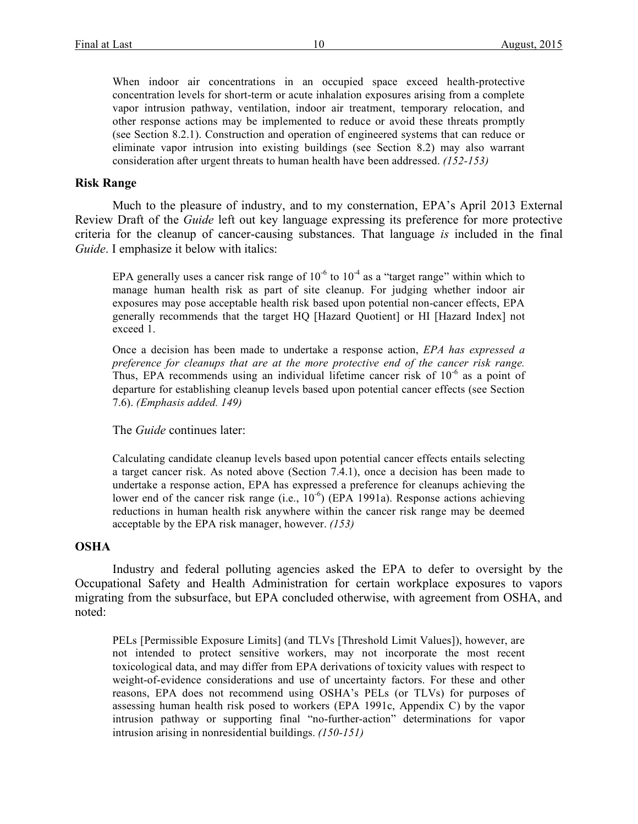When indoor air concentrations in an occupied space exceed health-protective concentration levels for short-term or acute inhalation exposures arising from a complete vapor intrusion pathway, ventilation, indoor air treatment, temporary relocation, and other response actions may be implemented to reduce or avoid these threats promptly (see Section 8.2.1). Construction and operation of engineered systems that can reduce or eliminate vapor intrusion into existing buildings (see Section 8.2) may also warrant consideration after urgent threats to human health have been addressed. *(152-153)*

### **Risk Range**

Much to the pleasure of industry, and to my consternation, EPA's April 2013 External Review Draft of the *Guide* left out key language expressing its preference for more protective criteria for the cleanup of cancer-causing substances. That language *is* included in the final *Guide*. I emphasize it below with italics:

EPA generally uses a cancer risk range of  $10^{-6}$  to  $10^{-4}$  as a "target range" within which to manage human health risk as part of site cleanup. For judging whether indoor air exposures may pose acceptable health risk based upon potential non-cancer effects, EPA generally recommends that the target HQ [Hazard Quotient] or HI [Hazard Index] not exceed 1.

Once a decision has been made to undertake a response action, *EPA has expressed a preference for cleanups that are at the more protective end of the cancer risk range.* Thus, EPA recommends using an individual lifetime cancer risk of  $10^{-6}$  as a point of departure for establishing cleanup levels based upon potential cancer effects (see Section 7.6). *(Emphasis added. 149)*

The *Guide* continues later:

Calculating candidate cleanup levels based upon potential cancer effects entails selecting a target cancer risk. As noted above (Section 7.4.1), once a decision has been made to undertake a response action, EPA has expressed a preference for cleanups achieving the lower end of the cancer risk range (i.e.,  $10^{-6}$ ) (EPA 1991a). Response actions achieving reductions in human health risk anywhere within the cancer risk range may be deemed acceptable by the EPA risk manager, however. *(153)*

### **OSHA**

Industry and federal polluting agencies asked the EPA to defer to oversight by the Occupational Safety and Health Administration for certain workplace exposures to vapors migrating from the subsurface, but EPA concluded otherwise, with agreement from OSHA, and noted:

PELs [Permissible Exposure Limits] (and TLVs [Threshold Limit Values]), however, are not intended to protect sensitive workers, may not incorporate the most recent toxicological data, and may differ from EPA derivations of toxicity values with respect to weight-of-evidence considerations and use of uncertainty factors. For these and other reasons, EPA does not recommend using OSHA's PELs (or TLVs) for purposes of assessing human health risk posed to workers (EPA 1991c, Appendix C) by the vapor intrusion pathway or supporting final "no-further-action" determinations for vapor intrusion arising in nonresidential buildings. *(150-151)*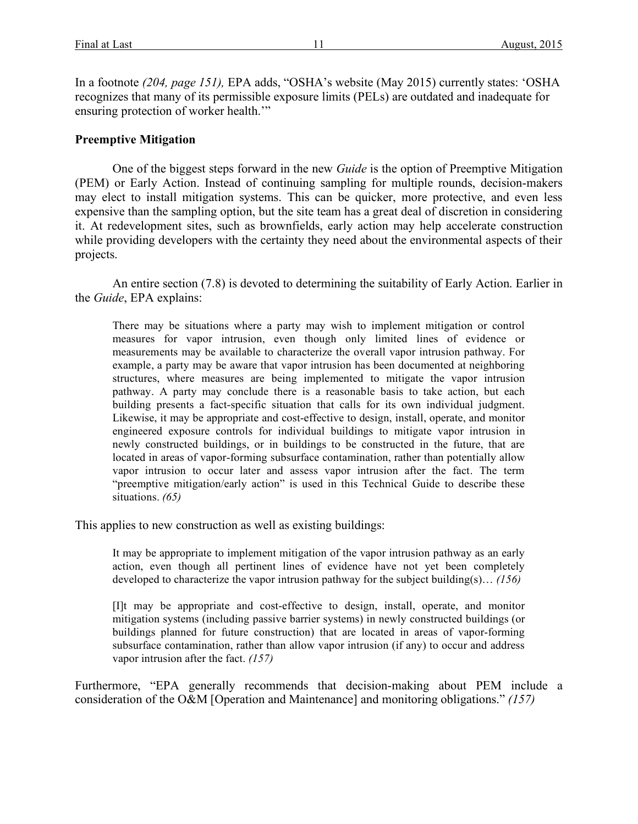In a footnote *(204, page 151),* EPA adds, "OSHA's website (May 2015) currently states: 'OSHA recognizes that many of its permissible exposure limits (PELs) are outdated and inadequate for ensuring protection of worker health.'"

# **Preemptive Mitigation**

One of the biggest steps forward in the new *Guide* is the option of Preemptive Mitigation (PEM) or Early Action. Instead of continuing sampling for multiple rounds, decision-makers may elect to install mitigation systems. This can be quicker, more protective, and even less expensive than the sampling option, but the site team has a great deal of discretion in considering it. At redevelopment sites, such as brownfields, early action may help accelerate construction while providing developers with the certainty they need about the environmental aspects of their projects.

An entire section (7.8) is devoted to determining the suitability of Early Action. Earlier in the *Guide*, EPA explains:

There may be situations where a party may wish to implement mitigation or control measures for vapor intrusion, even though only limited lines of evidence or measurements may be available to characterize the overall vapor intrusion pathway. For example, a party may be aware that vapor intrusion has been documented at neighboring structures, where measures are being implemented to mitigate the vapor intrusion pathway. A party may conclude there is a reasonable basis to take action, but each building presents a fact-specific situation that calls for its own individual judgment. Likewise, it may be appropriate and cost-effective to design, install, operate, and monitor engineered exposure controls for individual buildings to mitigate vapor intrusion in newly constructed buildings, or in buildings to be constructed in the future, that are located in areas of vapor-forming subsurface contamination, rather than potentially allow vapor intrusion to occur later and assess vapor intrusion after the fact. The term "preemptive mitigation/early action" is used in this Technical Guide to describe these situations. *(65)*

This applies to new construction as well as existing buildings:

It may be appropriate to implement mitigation of the vapor intrusion pathway as an early action, even though all pertinent lines of evidence have not yet been completely developed to characterize the vapor intrusion pathway for the subject building(s)… *(156)*

[I]t may be appropriate and cost-effective to design, install, operate, and monitor mitigation systems (including passive barrier systems) in newly constructed buildings (or buildings planned for future construction) that are located in areas of vapor-forming subsurface contamination, rather than allow vapor intrusion (if any) to occur and address vapor intrusion after the fact. *(157)*

Furthermore, "EPA generally recommends that decision-making about PEM include a consideration of the O&M [Operation and Maintenance] and monitoring obligations." *(157)*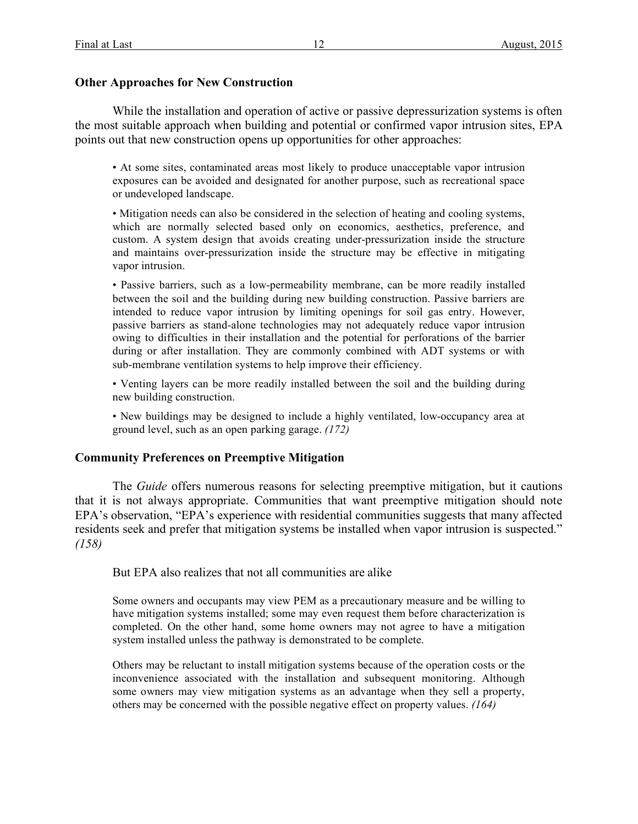# **Other Approaches for New Construction**

While the installation and operation of active or passive depressurization systems is often the most suitable approach when building and potential or confirmed vapor intrusion sites, EPA points out that new construction opens up opportunities for other approaches:

• At some sites, contaminated areas most likely to produce unacceptable vapor intrusion exposures can be avoided and designated for another purpose, such as recreational space or undeveloped landscape.

• Mitigation needs can also be considered in the selection of heating and cooling systems, which are normally selected based only on economics, aesthetics, preference, and custom. A system design that avoids creating under-pressurization inside the structure and maintains over-pressurization inside the structure may be effective in mitigating vapor intrusion.

• Passive barriers, such as a low-permeability membrane, can be more readily installed between the soil and the building during new building construction. Passive barriers are intended to reduce vapor intrusion by limiting openings for soil gas entry. However, passive barriers as stand-alone technologies may not adequately reduce vapor intrusion owing to difficulties in their installation and the potential for perforations of the barrier during or after installation. They are commonly combined with ADT systems or with sub-membrane ventilation systems to help improve their efficiency.

• Venting layers can be more readily installed between the soil and the building during new building construction.

• New buildings may be designed to include a highly ventilated, low-occupancy area at ground level, such as an open parking garage. *(172)*

# **Community Preferences on Preemptive Mitigation**

The *Guide* offers numerous reasons for selecting preemptive mitigation, but it cautions that it is not always appropriate. Communities that want preemptive mitigation should note EPA's observation, "EPA's experience with residential communities suggests that many affected residents seek and prefer that mitigation systems be installed when vapor intrusion is suspected." *(158)*

But EPA also realizes that not all communities are alike

Some owners and occupants may view PEM as a precautionary measure and be willing to have mitigation systems installed; some may even request them before characterization is completed. On the other hand, some home owners may not agree to have a mitigation system installed unless the pathway is demonstrated to be complete.

Others may be reluctant to install mitigation systems because of the operation costs or the inconvenience associated with the installation and subsequent monitoring. Although some owners may view mitigation systems as an advantage when they sell a property, others may be concerned with the possible negative effect on property values. *(164)*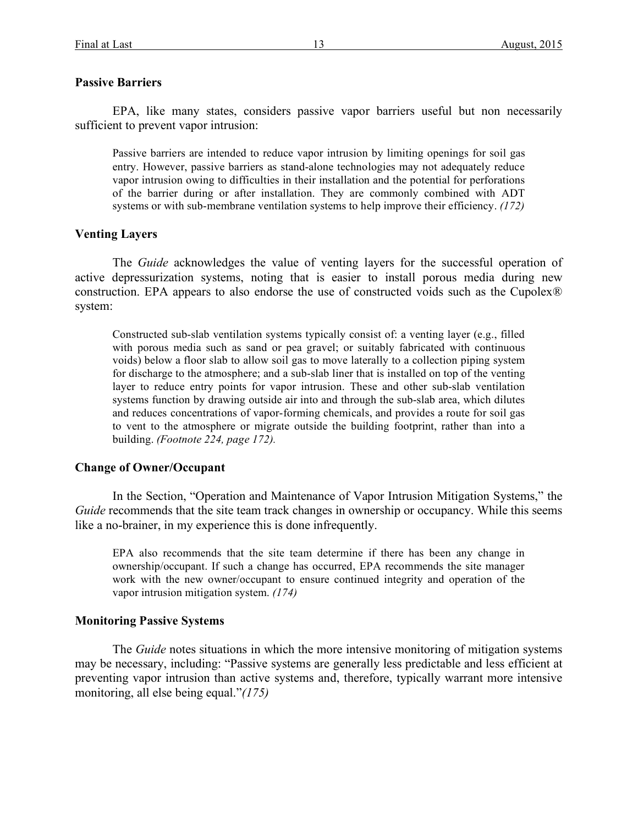### **Passive Barriers**

EPA, like many states, considers passive vapor barriers useful but non necessarily sufficient to prevent vapor intrusion:

Passive barriers are intended to reduce vapor intrusion by limiting openings for soil gas entry. However, passive barriers as stand-alone technologies may not adequately reduce vapor intrusion owing to difficulties in their installation and the potential for perforations of the barrier during or after installation. They are commonly combined with ADT systems or with sub-membrane ventilation systems to help improve their efficiency. *(172)*

## **Venting Layers**

The *Guide* acknowledges the value of venting layers for the successful operation of active depressurization systems, noting that is easier to install porous media during new construction. EPA appears to also endorse the use of constructed voids such as the Cupolex® system:

Constructed sub-slab ventilation systems typically consist of: a venting layer (e.g., filled with porous media such as sand or pea gravel; or suitably fabricated with continuous voids) below a floor slab to allow soil gas to move laterally to a collection piping system for discharge to the atmosphere; and a sub-slab liner that is installed on top of the venting layer to reduce entry points for vapor intrusion. These and other sub-slab ventilation systems function by drawing outside air into and through the sub-slab area, which dilutes and reduces concentrations of vapor-forming chemicals, and provides a route for soil gas to vent to the atmosphere or migrate outside the building footprint, rather than into a building. *(Footnote 224, page 172).*

### **Change of Owner/Occupant**

In the Section, "Operation and Maintenance of Vapor Intrusion Mitigation Systems," the *Guide* recommends that the site team track changes in ownership or occupancy. While this seems like a no-brainer, in my experience this is done infrequently.

EPA also recommends that the site team determine if there has been any change in ownership/occupant. If such a change has occurred, EPA recommends the site manager work with the new owner/occupant to ensure continued integrity and operation of the vapor intrusion mitigation system. *(174)*

### **Monitoring Passive Systems**

The *Guide* notes situations in which the more intensive monitoring of mitigation systems may be necessary, including: "Passive systems are generally less predictable and less efficient at preventing vapor intrusion than active systems and, therefore, typically warrant more intensive monitoring, all else being equal."*(175)*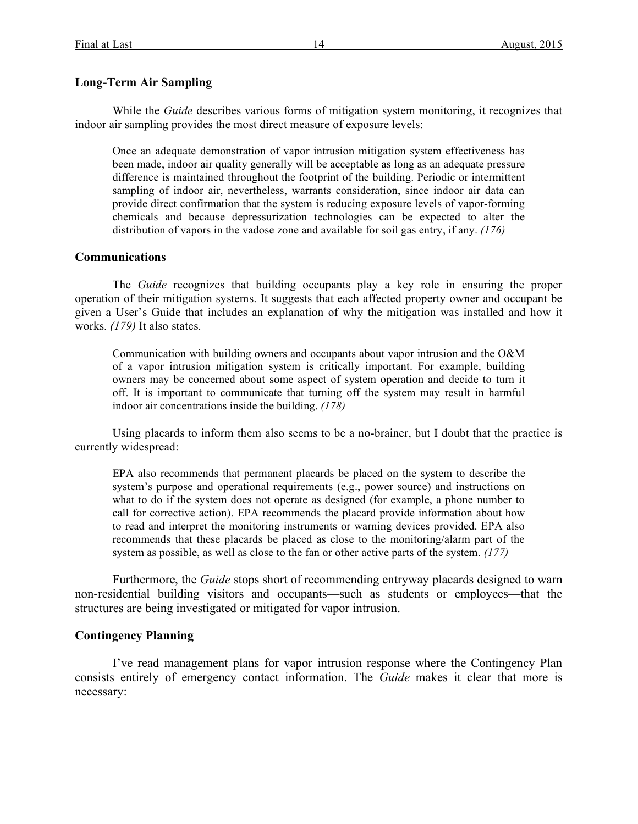# **Long-Term Air Sampling**

While the *Guide* describes various forms of mitigation system monitoring, it recognizes that indoor air sampling provides the most direct measure of exposure levels:

Once an adequate demonstration of vapor intrusion mitigation system effectiveness has been made, indoor air quality generally will be acceptable as long as an adequate pressure difference is maintained throughout the footprint of the building. Periodic or intermittent sampling of indoor air, nevertheless, warrants consideration, since indoor air data can provide direct confirmation that the system is reducing exposure levels of vapor-forming chemicals and because depressurization technologies can be expected to alter the distribution of vapors in the vadose zone and available for soil gas entry, if any. *(176)*

## **Communications**

The *Guide* recognizes that building occupants play a key role in ensuring the proper operation of their mitigation systems. It suggests that each affected property owner and occupant be given a User's Guide that includes an explanation of why the mitigation was installed and how it works. *(179)* It also states.

Communication with building owners and occupants about vapor intrusion and the O&M of a vapor intrusion mitigation system is critically important. For example, building owners may be concerned about some aspect of system operation and decide to turn it off. It is important to communicate that turning off the system may result in harmful indoor air concentrations inside the building. *(178)*

Using placards to inform them also seems to be a no-brainer, but I doubt that the practice is currently widespread:

EPA also recommends that permanent placards be placed on the system to describe the system's purpose and operational requirements (e.g., power source) and instructions on what to do if the system does not operate as designed (for example, a phone number to call for corrective action). EPA recommends the placard provide information about how to read and interpret the monitoring instruments or warning devices provided. EPA also recommends that these placards be placed as close to the monitoring/alarm part of the system as possible, as well as close to the fan or other active parts of the system. *(177)*

Furthermore, the *Guide* stops short of recommending entryway placards designed to warn non-residential building visitors and occupants—such as students or employees—that the structures are being investigated or mitigated for vapor intrusion.

# **Contingency Planning**

I've read management plans for vapor intrusion response where the Contingency Plan consists entirely of emergency contact information. The *Guide* makes it clear that more is necessary: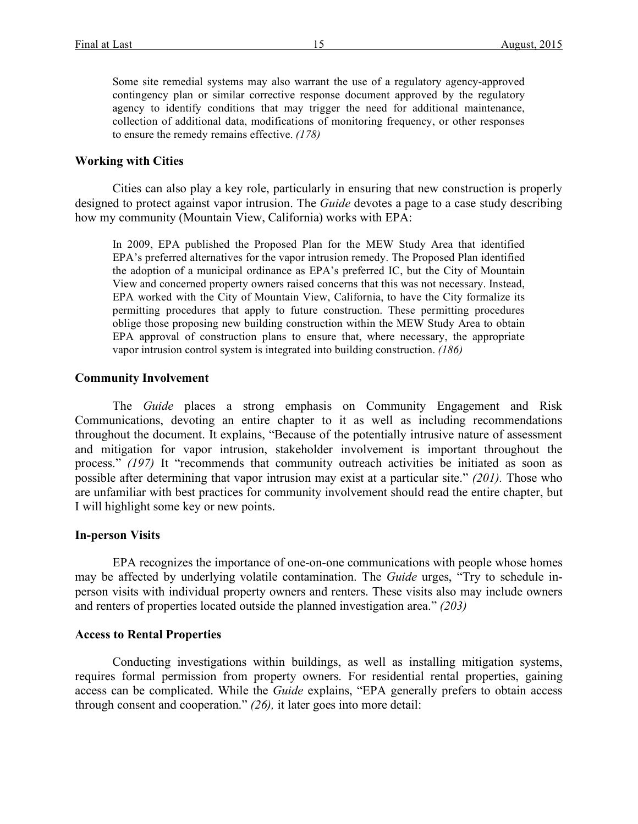Some site remedial systems may also warrant the use of a regulatory agency-approved contingency plan or similar corrective response document approved by the regulatory agency to identify conditions that may trigger the need for additional maintenance, collection of additional data, modifications of monitoring frequency, or other responses to ensure the remedy remains effective. *(178)*

#### **Working with Cities**

Cities can also play a key role, particularly in ensuring that new construction is properly designed to protect against vapor intrusion. The *Guide* devotes a page to a case study describing how my community (Mountain View, California) works with EPA:

In 2009, EPA published the Proposed Plan for the MEW Study Area that identified EPA's preferred alternatives for the vapor intrusion remedy. The Proposed Plan identified the adoption of a municipal ordinance as EPA's preferred IC, but the City of Mountain View and concerned property owners raised concerns that this was not necessary. Instead, EPA worked with the City of Mountain View, California, to have the City formalize its permitting procedures that apply to future construction. These permitting procedures oblige those proposing new building construction within the MEW Study Area to obtain EPA approval of construction plans to ensure that, where necessary, the appropriate vapor intrusion control system is integrated into building construction. *(186)*

## **Community Involvement**

The *Guide* places a strong emphasis on Community Engagement and Risk Communications, devoting an entire chapter to it as well as including recommendations throughout the document. It explains, "Because of the potentially intrusive nature of assessment and mitigation for vapor intrusion, stakeholder involvement is important throughout the process." (197) It "recommends that community outreach activities be initiated as soon as possible after determining that vapor intrusion may exist at a particular site." *(201).* Those who are unfamiliar with best practices for community involvement should read the entire chapter, but I will highlight some key or new points.

## **In-person Visits**

EPA recognizes the importance of one-on-one communications with people whose homes may be affected by underlying volatile contamination. The *Guide* urges, "Try to schedule inperson visits with individual property owners and renters. These visits also may include owners and renters of properties located outside the planned investigation area." *(203)*

#### **Access to Rental Properties**

Conducting investigations within buildings, as well as installing mitigation systems, requires formal permission from property owners. For residential rental properties, gaining access can be complicated. While the *Guide* explains, "EPA generally prefers to obtain access through consent and cooperation." *(26),* it later goes into more detail: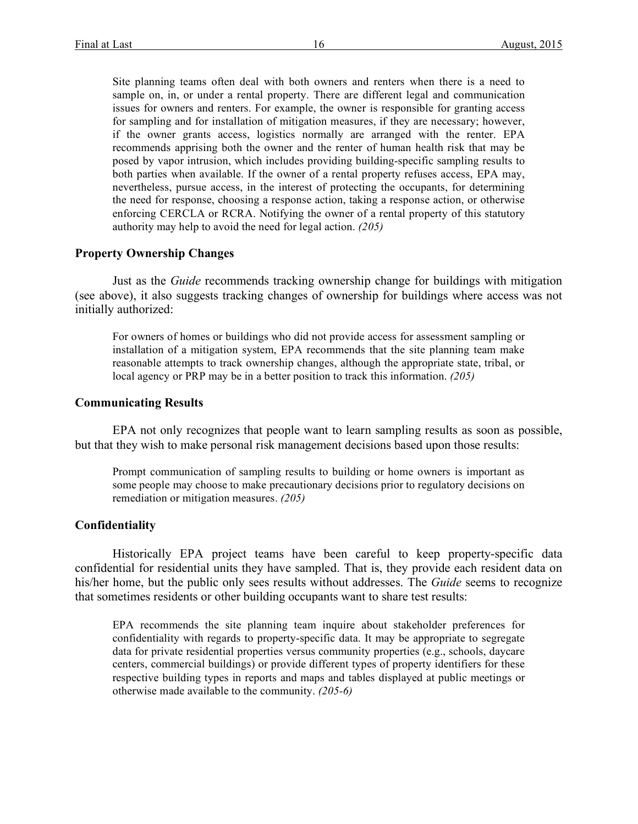Site planning teams often deal with both owners and renters when there is a need to sample on, in, or under a rental property. There are different legal and communication issues for owners and renters. For example, the owner is responsible for granting access for sampling and for installation of mitigation measures, if they are necessary; however, if the owner grants access, logistics normally are arranged with the renter. EPA recommends apprising both the owner and the renter of human health risk that may be posed by vapor intrusion, which includes providing building-specific sampling results to both parties when available. If the owner of a rental property refuses access, EPA may, nevertheless, pursue access, in the interest of protecting the occupants, for determining the need for response, choosing a response action, taking a response action, or otherwise enforcing CERCLA or RCRA. Notifying the owner of a rental property of this statutory authority may help to avoid the need for legal action. *(205)*

### **Property Ownership Changes**

Just as the *Guide* recommends tracking ownership change for buildings with mitigation (see above), it also suggests tracking changes of ownership for buildings where access was not initially authorized:

For owners of homes or buildings who did not provide access for assessment sampling or installation of a mitigation system, EPA recommends that the site planning team make reasonable attempts to track ownership changes, although the appropriate state, tribal, or local agency or PRP may be in a better position to track this information. *(205)*

### **Communicating Results**

EPA not only recognizes that people want to learn sampling results as soon as possible, but that they wish to make personal risk management decisions based upon those results:

Prompt communication of sampling results to building or home owners is important as some people may choose to make precautionary decisions prior to regulatory decisions on remediation or mitigation measures. *(205)*

### **Confidentiality**

Historically EPA project teams have been careful to keep property-specific data confidential for residential units they have sampled. That is, they provide each resident data on his/her home, but the public only sees results without addresses. The *Guide* seems to recognize that sometimes residents or other building occupants want to share test results:

EPA recommends the site planning team inquire about stakeholder preferences for confidentiality with regards to property-specific data. It may be appropriate to segregate data for private residential properties versus community properties (e.g., schools, daycare centers, commercial buildings) or provide different types of property identifiers for these respective building types in reports and maps and tables displayed at public meetings or otherwise made available to the community. *(205-6)*